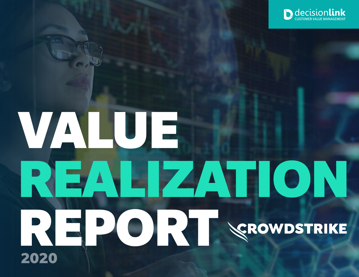

# VALUE REALIZATION REPORT VEROWDSTRIKE 2020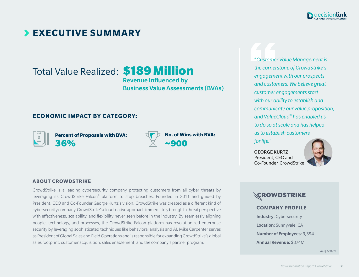

### **EXECUTIVE SUMMARY**

Total Value Realized: \$189 Million

Revenue Influenced by Business Value Assessments (BVAs)

#### **ECONOMIC IMPACT BY CATEGORY:**



**ABOUT CROWDSTRIKE**

**Percent of Proposals with BVA:**  36%



**No. of Wins with BVA:** ~900

*"Customer Value Management is the cornerstone of CrowdStrike's engagement with our prospects and customers. We believe great customer engagements start with our ability to establish and communicate our value proposition, and ValueCloud® has enabled us to do so at scale and has helped us to establish customers* 

*for life."* 

GEORGE KURTZ President, CEO and Co-Founder, CrowdStrike



#### **SCROWDSTRIKE**

#### **COMPANY PROFILE**

Industry: Cybersecurity Location: Sunnyvale, CA Number of Employees: 3,394 Annual Revenue: \$874M

*As of 1/31/21*

#### leveraging its CrowdStrike Falcon® platform to stop breaches. Founded in 2011 and guided by

CrowdStrike is a leading cybersecurity company protecting customers from all cyber threats by

President, CEO and Co-Founder George Kurtz's vision, CrowdStrike was created as a different kind of cybersecurity company. CrowdStrike's cloud-native approach immediately brought a threat perspective with effectiveness, scalability, and flexibility never seen before in the industry. By seamlessly aligning people, technology, and processes, the CrowdStrike Falcon platform has revolutionized enterprise security by leveraging sophisticated techniques like behavioral analysis and AI. Mike Carpenter serves as President of Global Sales and Field Operations and is responsible for expanding CrowdStrike's global sales footprint, customer acquisition, sales enablement, and the company's partner program.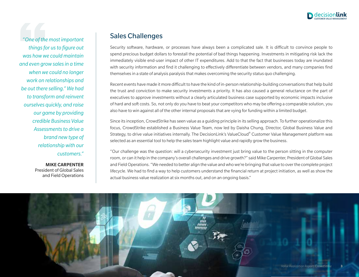

*"One of the most important things for us to figure out was how we could maintain and even grow sales in a time when we could no longer work on relationships and be out there selling." We had to transform and reinvent ourselves quickly, and raise our game by providing credible Business Value Assessments to drive a brand new type of relationship with our customers."* 

> MIKE CARPENTER President of Global Sales and Field Operations

#### Sales Challenges

Security software, hardware, or processes have always been a complicated sale. It is difficult to convince people to spend precious budget dollars to forestall the potential of bad things happening. Investments in mitigating risk lack the immediately visible end-user impact of other IT expenditures. Add to that the fact that businesses today are inundated with security information and find it challenging to effectively differentiate between vendors, and many companies find themselves in a state of analysis paralysis that makes overcoming the security status quo challenging.

Recent events have made it more difficult to have the kind of in-person relationship-building conversations that help build the trust and conviction to make security investments a priority. It has also caused a general reluctance on the part of executives to approve investments without a clearly articulated business case supported by economic impacts inclusive of hard and soft costs. So, not only do you have to beat your competitors who may be offering a comparable solution, you also have to win against all of the other internal proposals that are vying for funding within a limited budget.

Since its inception, CrowdStrike has seen value as a guiding principle in its selling approach. To further operationalize this focus, CrowdStrike established a Business Value Team, now led by Daisha Chung, Director, Global Business Value and Strategy, to drive value initiatives internally. The DecisionLink's ValueCloud® Customer Value Management platform was selected as an essential tool to help the sales team highlight value and rapidly grow the business.

"Our challenge was the question: will a cybersecurity investment just bring value to the person sitting in the computer room, or can it help in the company's overall challenges and drive growth?" said Mike Carpenter, President of Global Sales and Field Operations. "We needed to better align the value and who we're bringing that value to over the complete project lifecycle. We had to find a way to help customers understand the financial return at project initiation, as well as show the actual business value realization at six months out, and on an ongoing basis."

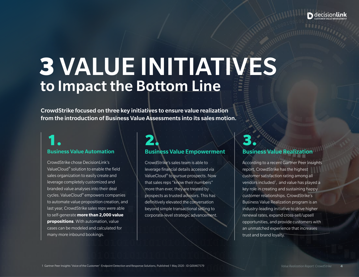

# 3 VALUE INITIATIVES to Impact the Bottom Line

CrowdStrike focused on three key initiatives to ensure value realization from the introduction of Business Value Assessments into its sales motion.

#### Business Value Automation

CrowdStrike chose DecisionLink's ValueCloud® solution to enable the field sales organization to easily create and leverage completely customized and branded value analyses into their deal cycles. ValueCloud® empowers companies to automate value proposition creation, and last year, CrowdStrike sales reps were able to self-generate **more than 2,000 value propositions**. With automation, value cases can be modeled and calculated for many more inbound bookings.

### Business Value Empowerment 1. 2. 3.

CrowdStrike's sales team is able to leverage financial details accessed via ValueCloud® to pursue prospects. Now that sales reps "know their numbers" more than ever, they are treated by prospects as trusted advisors. This has definitively elevated the conversation beyond simple transactional selling to corporate-level strategic advancement.

#### Business Value Realization

According to a recent Gartner Peer Insights report, CrowdStrike has the highest customer satisfaction rating among all vendors included<sup>1</sup>, and value has played a key role in creating and sustaining happy customer relationships. CrowdStrike's Business Value Realization program is an industry-leading initiative to drive higher renewal rates, expand cross-sell/upsell opportunities, and provide customers with an unmatched experience that increases trust and brand loyalty.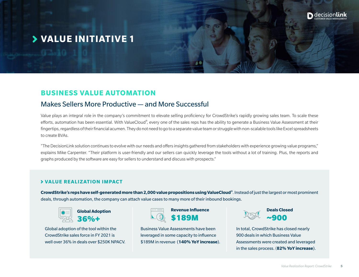

#### **VALUE INITIATIVE 1**

#### **BUSINESS VALUE AUTOMATION**

#### Makes Sellers More Productive — and More Successful

Value plays an integral role in the company's commitment to elevate selling proficiency for CrowdStrike's rapidly growing sales team. To scale these efforts, automation has been essential. With ValueCloud®, every one of the sales reps has the ability to generate a Business Value Assessment at their fingertips, regardless of their financial acumen. They do not need to go to a separate value team or struggle with non-scalable tools like Excel spreadsheets to create BVAs.

"The DecisionLink solution continues to evolve with our needs and offers insights gathered from stakeholders with experience growing value programs," explains Mike Carpenter. "Their platform is user-friendly and our sellers can quickly leverage the tools without a lot of training. Plus, the reports and graphs produced by the software are easy for sellers to understand and discuss with prospects."

#### **VALUE REALIZATION IMPACT**

**CrowdStrike's reps have self-generated more than 2,000 value propositions using ValueCloud®**. Instead of just the largest or most prominent deals, through automation, the company can attach value cases to many more of their inbound bookings.



**Global Adoption**  36%+

Global adoption of the tool within the CrowdStrike sales force in FY 2021 is well over 36% in deals over \$250K NPACV.



Business Value Assessments have been leveraged in some capacity to influence \$189M in revenue (**140% YoY increase**).



In total, CrowdStrike has closed nearly 900 deals in which Business Value Assessments were created and leveraged in the sales process. (**82% YoY increase**).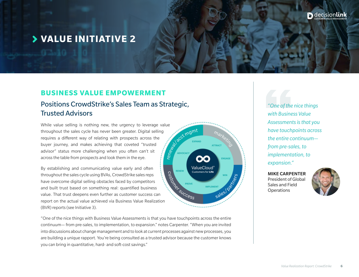#### **VALUE INITIATIVE 2**

#### **BUSINESS VALUE EMPOWERMENT**

#### Positions CrowdStrike's Sales Team as Strategic, Trusted Advisors

While value selling is nothing new, the urgency to leverage value<br>throughout the sales cycle has never been greater. Digital selling<br>requires a different way of relating with prospects across the<br>buyer journey, and makes a throughout the sales cycle has never been greater. Digital selling requires a different way of relating with prospects across the buyer journey, and makes achieving that coveted "trusted advisor" status more challenging when you often can't sit across the table from prospects and look them in the eye.

By establishing and communicating value early and often throughout the sales cycle using BVAs, CrowdStrike sales reps have overcome digital selling obstacles faced by competitors and built trust based on something real: quantified business throughout the sales cycle using BVAs, CrowdStrike sales reps<br>have overcome digital selling obstacles faced by competitors<br>and built trust based on something real: quantified business<br>value. That trust deepens even further report on the actual value achieved via Business Value Realization (BVR) reports (see Initiative 3).

"One of the nice things with Business Value Assessments is that you have touchpoints across the entire continuum— from pre-sales, to implementation, to expansion." notes Carpenter. "When you are invited into discussions about change management and to look at current processes against new processes, you are building a unique rapport. You're being consulted as a trusted advisor because the customer knows you can bring in quantitative, hard- and soft-cost savings."

**ValueCloud Customers for Life** 

**IMPLEMENT** 

*"One of the nice things with Business Value Assessments is that you have touchpoints across the entire continuum from pre-sales, to implementation, to expansion."*

MIKE CARPENTER President of Global Sales and Field **Operations** 

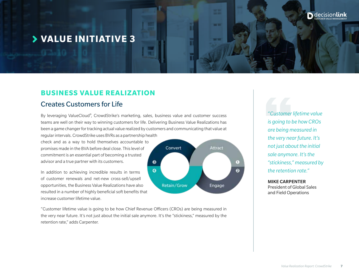#### **VALUE INITIATIVE 3**

#### **BUSINESS VALUE REALIZATION**

#### Creates Customers for Life

By leveraging ValueCloud® , CrowdStrike's marketing, sales, business value and customer success teams are well on their way to winning customers for life. Delivering Business Value Realizations has been a game changer for tracking actual value realized by customers and communicating that value at regular intervals. CrowdStrike uses BVRs as a partnership health

Convert

Retain/Grow

 $\bullet$ 

 $\bullet$ 

Attract

Engage

 $\left(1\right)$ 

 $\bullet$ 

check and as a way to hold themselves accountable to promises made in the BVA before deal close. This level of commitment is an essential part of becoming a trusted advisor and a true partner with its customers.

In addition to achieving incredible results in terms of customer renewals and net-new cross-sell/upsell opportunities, the Business Value Realizations have also resulted in a number of highly beneficial soft benefits that increase customer lifetime value.



*"Customer lifetime value is going to be how CROs are being measured in the very near future. It's not just about the initial sale anymore. It's the "stickiness," measured by the retention rate."*

#### MIKE CARPENTER

President of Global Sales and Field Operations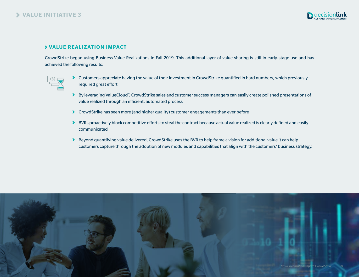

#### **VALUE REALIZATION IMPACT**

CrowdStrike began using Business Value Realizations in Fall 2019. This additional layer of value sharing is still in early-stage use and has achieved the following results:



- Customers appreciate having the value of their investment in CrowdStrike quantified in hard numbers, which previously required great effort
- By leveraging ValueCloud®, CrowdStrike sales and customer success managers can easily create polished presentations of value realized through an efficient, automated process
- CrowdStrike has seen more (and higher quality) customer engagements than ever before
- **BURS proactively block competitive efforts to steal the contract because actual value realized is clearly defined and easily** communicated
- Beyond quantifying value delivered, CrowdStrike uses the BVR to help frame a vision for additional value it can help customers capture through the adoption of new modules and capabilities that align with the customers' business strategy.

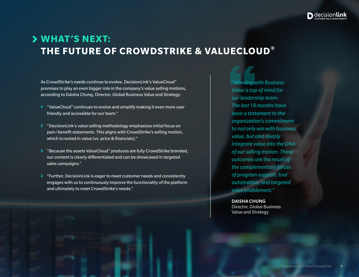

## **WHAT'S NEXT: THE FUTURE OF CROWDSTRIKE & VALUECLOUD®**

As CrowdStrike's needs continue to evolve, DecisionLink's ValueCloud® promises to play an even bigger role in the company's value selling motions, according to Daisha Chung, Director, Global Business Value and Strategy:

- $\blacktriangleright$  "ValueCloud<sup>®</sup> continues to evolve and simplify making it even more user friendly and accessible for our team."
- "DecisionLink's value selling methodology emphasizes initial focus on pain/benefit statements. This aligns with CrowdStrike's selling motion, which is rooted in value (vs. price & financials)."
- $\blacktriangleright$  "Because the assets ValueCloud® produces are fully CrowdStrike branded, our content is clearly differentiated and can be showcased in targeted sales campaigns."
- "Further, DecisionLink is eager to meet customer needs and consistently engages with us to continuously improve the functionality of the platform and ultimately to meet CrowdStrike's needs."

*"Winning with Business Value is top of mind for our leadership team. The last 18 months have been a testament to the organization's commitment to not only win with business value, but also deeply integrate value into the DNA of our selling motion. These outcomes are the result of the complementary forces of program support, tool automation, and targeted sales enablement."* 

DAISHA CHUNG Director, Global Business Value and Strategy